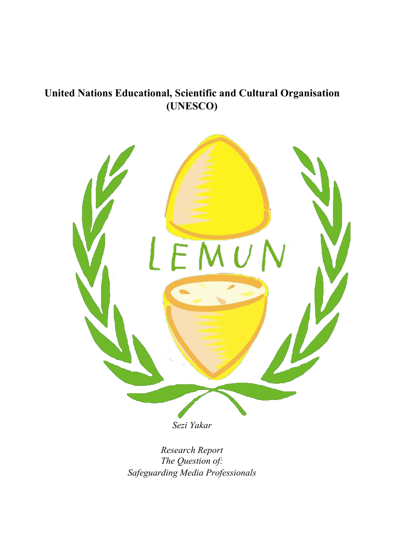### **United Nations Educational, Scientific and Cultural Organisation (UNESCO)**



*Sezi Yakar*

*Research Report The Question of: Safeguarding Media Professionals*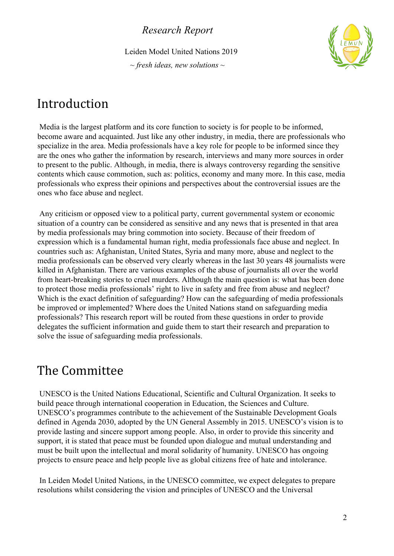Leiden Model United Nations 2019

*~ fresh ideas, new solutions ~*



### Introduction

 Media is the largest platform and its core function to society is for people to be informed, become aware and acquainted. Just like any other industry, in media, there are professionals who specialize in the area. Media professionals have a key role for people to be informed since they are the ones who gather the information by research, interviews and many more sources in order to present to the public. Although, in media, there is always controversy regarding the sensitive contents which cause commotion, such as: politics, economy and many more. In this case, media professionals who express their opinions and perspectives about the controversial issues are the ones who face abuse and neglect.

 Any criticism or opposed view to a political party, current governmental system or economic situation of a country can be considered as sensitive and any news that is presented in that area by media professionals may bring commotion into society. Because of their freedom of expression which is a fundamental human right, media professionals face abuse and neglect. In countries such as: Afghanistan, United States, Syria and many more, abuse and neglect to the media professionals can be observed very clearly whereas in the last 30 years 48 journalists were killed in Afghanistan. There are various examples of the abuse of journalists all over the world from heart-breaking stories to cruel murders. Although the main question is: what has been done to protect those media professionals' right to live in safety and free from abuse and neglect? Which is the exact definition of safeguarding? How can the safeguarding of media professionals be improved or implemented? Where does the United Nations stand on safeguarding media professionals? This research report will be routed from these questions in order to provide delegates the sufficient information and guide them to start their research and preparation to solve the issue of safeguarding media professionals.

### The Committee

 UNESCO is the United Nations Educational, Scientific and Cultural Organization. It seeks to build peace through international cooperation in Education, the Sciences and Culture. UNESCO's programmes contribute to the achievement of the Sustainable Development Goals defined in Agenda 2030, adopted by the UN General Assembly in 2015. UNESCO's vision is to provide lasting and sincere support among people. Also, in order to provide this sincerity and support, it is stated that peace must be founded upon dialogue and mutual understanding and must be built upon the intellectual and moral solidarity of humanity. UNESCO has ongoing projects to ensure peace and help people live as global citizens free of hate and intolerance.

 In Leiden Model United Nations, in the UNESCO committee, we expect delegates to prepare resolutions whilst considering the vision and principles of UNESCO and the Universal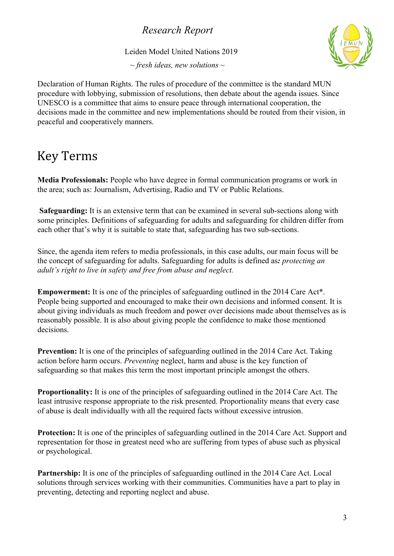Leiden Model United Nations 2019

*~ fresh ideas, new solutions ~*



Declaration of Human Rights. The rules of procedure of the committee is the standard MUN procedure with lobbying, submission of resolutions, then debate about the agenda issues. Since UNESCO is a committee that aims to ensure peace through international cooperation, the decisions made in the committee and new implementations should be routed from their vision, in peaceful and cooperatively manners.

### Key Terms

**Media Professionals:** People who have degree in formal communication programs or work in the area; such as: Journalism, Advertising, Radio and TV or Public Relations.

**Safeguarding:** It is an extensive term that can be examined in several sub-sections along with some principles. Definitions of safeguarding for adults and safeguarding for children differ from each other that's why it is suitable to state that, safeguarding has two sub-sections.

Since, the agenda item refers to media professionals, in this case adults, our main focus will be the concept of safeguarding for adults. Safeguarding for adults is defined as*: protecting an adult's right to live in safety and free from abuse and neglect.*

**Empowerment:** It is one of the principles of safeguarding outlined in the 2014 Care Act\*. People being supported and encouraged to make their own decisions and informed consent. It is about giving individuals as much freedom and power over decisions made about themselves as is reasonably possible. It is also about giving people the confidence to make those mentioned decisions.

**Prevention:** It is one of the principles of safeguarding outlined in the 2014 Care Act. Taking action before harm occurs. *Preventing* neglect, harm and abuse is the key function of safeguarding so that makes this term the most important principle amongst the others.

**Proportionality:** It is one of the principles of safeguarding outlined in the 2014 Care Act. The least intrusive response appropriate to the risk presented. Proportionality means that every case of abuse is dealt individually with all the required facts without excessive intrusion.

Protection: It is one of the principles of safeguarding outlined in the 2014 Care Act. Support and representation for those in greatest need who are suffering from types of abuse such as physical or psychological.

**Partnership:** It is one of the principles of safeguarding outlined in the 2014 Care Act. Local solutions through services working with their communities. Communities have a part to play in preventing, detecting and reporting neglect and abuse.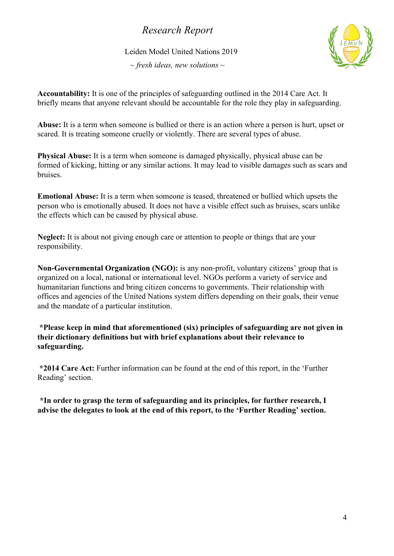Leiden Model United Nations 2019

*~ fresh ideas, new solutions ~*



**Accountability:** It is one of the principles of safeguarding outlined in the 2014 Care Act. It briefly means that anyone relevant should be accountable for the role they play in safeguarding.

**Abuse:** It is a term when someone is bullied or there is an action where a person is hurt, upset or scared. It is treating someone cruelly or violently. There are several types of abuse.

**Physical Abuse:** It is a term when someone is damaged physically, physical abuse can be formed of kicking, hitting or any similar actions. It may lead to visible damages such as scars and bruises.

**Emotional Abuse:** It is a term when someone is teased, threatened or bullied which upsets the person who is emotionally abused. It does not have a visible effect such as bruises, scars unlike the effects which can be caused by physical abuse.

**Neglect:** It is about not giving enough care or attention to people or things that are your responsibility.

**Non-Governmental Organization (NGO):** is any non-profit, voluntary citizens' group that is organized on a local, national or international level. NGOs perform a variety of service and humanitarian functions and bring citizen concerns to governments. Their relationship with offices and agencies of the United Nations system differs depending on their goals, their venue and the mandate of a particular institution.

 **\*Please keep in mind that aforementioned (six) principles of safeguarding are not given in their dictionary definitions but with brief explanations about their relevance to safeguarding.**

 **\*2014 Care Act:** Further information can be found at the end of this report, in the 'Further Reading' section.

**\*In order to grasp the term of safeguarding and its principles, for further research, I advise the delegates to look at the end of this report, to the 'Further Reading' section.**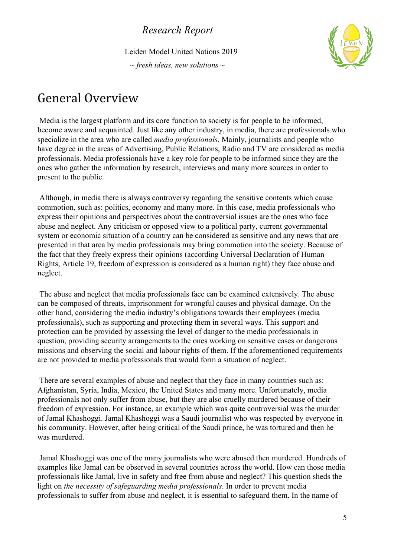Leiden Model United Nations 2019

*~ fresh ideas, new solutions ~*



### General Overview

 Media is the largest platform and its core function to society is for people to be informed, become aware and acquainted. Just like any other industry, in media, there are professionals who specialize in the area who are called *media professionals*. Mainly, journalists and people who have degree in the areas of Advertising, Public Relations, Radio and TV are considered as media professionals. Media professionals have a key role for people to be informed since they are the ones who gather the information by research, interviews and many more sources in order to present to the public.

 Although, in media there is always controversy regarding the sensitive contents which cause commotion, such as: politics, economy and many more. In this case, media professionals who express their opinions and perspectives about the controversial issues are the ones who face abuse and neglect. Any criticism or opposed view to a political party, current governmental system or economic situation of a country can be considered as sensitive and any news that are presented in that area by media professionals may bring commotion into the society. Because of the fact that they freely express their opinions (according Universal Declaration of Human Rights, Article 19, freedom of expression is considered as a human right) they face abuse and neglect.

 The abuse and neglect that media professionals face can be examined extensively. The abuse can be composed of threats, imprisonment for wrongful causes and physical damage. On the other hand, considering the media industry's obligations towards their employees (media professionals), such as supporting and protecting them in several ways. This support and protection can be provided by assessing the level of danger to the media professionals in question, providing security arrangements to the ones working on sensitive cases or dangerous missions and observing the social and labour rights of them. If the aforementioned requirements are not provided to media professionals that would form a situation of neglect.

 There are several examples of abuse and neglect that they face in many countries such as: Afghanistan, Syria, India, Mexico, the United States and many more. Unfortunately, media professionals not only suffer from abuse, but they are also cruelly murdered because of their freedom of expression. For instance, an example which was quite controversial was the murder of Jamal Khashoggi. Jamal Khashoggi was a Saudi journalist who was respected by everyone in his community. However, after being critical of the Saudi prince, he was tortured and then he was murdered.

 Jamal Khashoggi was one of the many journalists who were abused then murdered. Hundreds of examples like Jamal can be observed in several countries across the world. How can those media professionals like Jamal, live in safety and free from abuse and neglect? This question sheds the light on *the necessity of safeguarding media professionals*. In order to prevent media professionals to suffer from abuse and neglect, it is essential to safeguard them. In the name of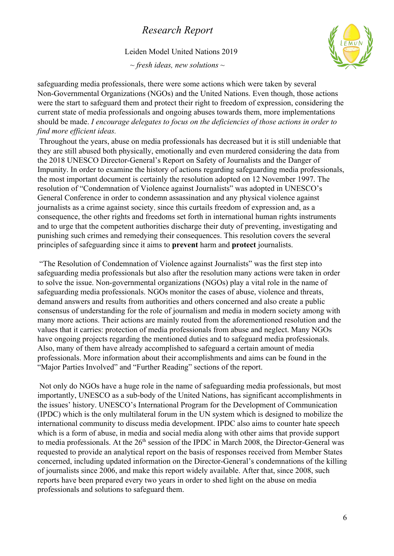Leiden Model United Nations 2019

*~ fresh ideas, new solutions ~*



safeguarding media professionals, there were some actions which were taken by several Non-Governmental Organizations (NGOs) and the United Nations. Even though, those actions were the start to safeguard them and protect their right to freedom of expression, considering the current state of media professionals and ongoing abuses towards them, more implementations should be made. *I encourage delegates to focus on the deficiencies of those actions in order to find more efficient ideas.*

 Throughout the years, abuse on media professionals has decreased but it is still undeniable that they are still abused both physically, emotionally and even murdered considering the data from the 2018 UNESCO Director-General's Report on Safety of Journalists and the Danger of Impunity. In order to examine the history of actions regarding safeguarding media professionals, the most important document is certainly the resolution adopted on 12 November 1997. The resolution of "Condemnation of Violence against Journalists" was adopted in UNESCO's General Conference in order to condemn assassination and any physical violence against journalists as a crime against society, since this curtails freedom of expression and, as a consequence, the other rights and freedoms set forth in international human rights instruments and to urge that the competent authorities discharge their duty of preventing, investigating and punishing such crimes and remedying their consequences. This resolution covers the several principles of safeguarding since it aims to **prevent** harm and **protect** journalists.

 "The Resolution of Condemnation of Violence against Journalists" was the first step into safeguarding media professionals but also after the resolution many actions were taken in order to solve the issue. Non-governmental organizations (NGOs) play a vital role in the name of safeguarding media professionals. NGOs monitor the cases of abuse, violence and threats, demand answers and results from authorities and others concerned and also create a public consensus of understanding for the role of journalism and media in modern society among with many more actions. Their actions are mainly routed from the aforementioned resolution and the values that it carries: protection of media professionals from abuse and neglect. Many NGOs have ongoing projects regarding the mentioned duties and to safeguard media professionals. Also, many of them have already accomplished to safeguard a certain amount of media professionals. More information about their accomplishments and aims can be found in the "Major Parties Involved" and "Further Reading" sections of the report.

 Not only do NGOs have a huge role in the name of safeguarding media professionals, but most importantly, UNESCO as a sub-body of the United Nations, has significant accomplishments in the issues' history. UNESCO's International Program for the Development of Communication (IPDC) which is the only multilateral forum in the UN system which is designed to mobilize the international community to discuss media development. IPDC also aims to counter hate speech which is a form of abuse, in media and social media along with other aims that provide support to media professionals. At the  $26<sup>th</sup>$  session of the IPDC in March 2008, the Director-General was requested to provide an analytical report on the basis of responses received from Member States concerned, including updated information on the Director-General's condemnations of the killing of journalists since 2006, and make this report widely available. After that, since 2008, such reports have been prepared every two years in order to shed light on the abuse on media professionals and solutions to safeguard them.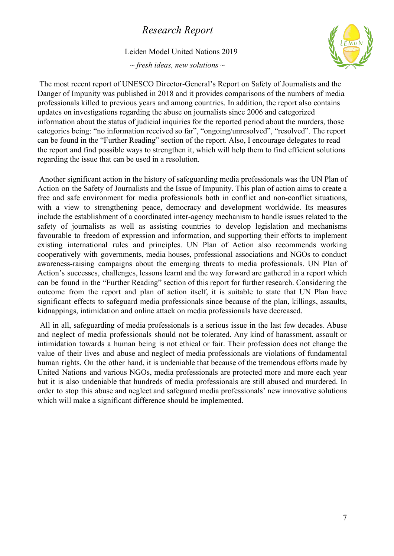#### Leiden Model United Nations 2019

*~ fresh ideas, new solutions ~*



 The most recent report of UNESCO Director-General's Report on Safety of Journalists and the Danger of Impunity was published in 2018 and it provides comparisons of the numbers of media professionals killed to previous years and among countries. In addition, the report also contains updates on investigations regarding the abuse on journalists since 2006 and categorized information about the status of judicial inquiries for the reported period about the murders, those categories being: "no information received so far", "ongoing/unresolved", "resolved". The report can be found in the "Further Reading" section of the report. Also, I encourage delegates to read the report and find possible ways to strengthen it, which will help them to find efficient solutions regarding the issue that can be used in a resolution.

Another significant action in the history of safeguarding media professionals was the UN Plan of Action on the Safety of Journalists and the Issue of Impunity. This plan of action aims to create a free and safe environment for media professionals both in conflict and non-conflict situations, with a view to strengthening peace, democracy and development worldwide. Its measures include the establishment of a coordinated inter-agency mechanism to handle issues related to the safety of journalists as well as assisting countries to develop legislation and mechanisms favourable to freedom of expression and information, and supporting their efforts to implement existing international rules and principles. UN Plan of Action also recommends working cooperatively with governments, media houses, professional associations and NGOs to conduct awareness-raising campaigns about the emerging threats to media professionals. UN Plan of Action's successes, challenges, lessons learnt and the way forward are gathered in a report which can be found in the "Further Reading" section of this report for further research. Considering the outcome from the report and plan of action itself, it is suitable to state that UN Plan have significant effects to safeguard media professionals since because of the plan, killings, assaults, kidnappings, intimidation and online attack on media professionals have decreased.

All in all, safeguarding of media professionals is a serious issue in the last few decades. Abuse and neglect of media professionals should not be tolerated. Any kind of harassment, assault or intimidation towards a human being is not ethical or fair. Their profession does not change the value of their lives and abuse and neglect of media professionals are violations of fundamental human rights. On the other hand, it is undeniable that because of the tremendous efforts made by United Nations and various NGOs, media professionals are protected more and more each year but it is also undeniable that hundreds of media professionals are still abused and murdered. In order to stop this abuse and neglect and safeguard media professionals' new innovative solutions which will make a significant difference should be implemented.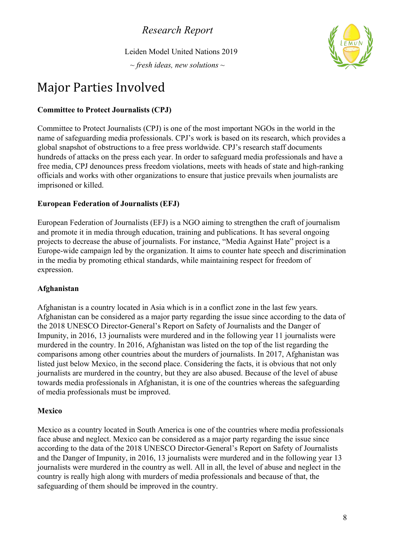Leiden Model United Nations 2019

*~ fresh ideas, new solutions ~*



## Major Parties Involved

### **Committee to Protect Journalists (CPJ)**

Committee to Protect Journalists (CPJ) is one of the most important NGOs in the world in the name of safeguarding media professionals. CPJ's work is based on its research, which provides a global snapshot of obstructions to a free press worldwide. CPJ's research staff documents hundreds of attacks on the press each year. In order to safeguard media professionals and have a free media, CPJ denounces press freedom violations, meets with heads of state and high-ranking officials and works with other organizations to ensure that justice prevails when journalists are imprisoned or killed.

### **European Federation of Journalists (EFJ)**

European Federation of Journalists (EFJ) is a NGO aiming to strengthen the craft of journalism and promote it in media through education, training and publications. It has several ongoing projects to decrease the abuse of journalists. For instance, "Media Against Hate" project is a Europe-wide campaign led by the organization. It aims to counter hate speech and discrimination in the media by promoting ethical standards, while maintaining respect for freedom of expression.

#### **Afghanistan**

Afghanistan is a country located in Asia which is in a conflict zone in the last few years. Afghanistan can be considered as a major party regarding the issue since according to the data of the 2018 UNESCO Director-General's Report on Safety of Journalists and the Danger of Impunity, in 2016, 13 journalists were murdered and in the following year 11 journalists were murdered in the country. In 2016, Afghanistan was listed on the top of the list regarding the comparisons among other countries about the murders of journalists. In 2017, Afghanistan was listed just below Mexico, in the second place. Considering the facts, it is obvious that not only journalists are murdered in the country, but they are also abused. Because of the level of abuse towards media professionals in Afghanistan, it is one of the countries whereas the safeguarding of media professionals must be improved.

#### **Mexico**

Mexico as a country located in South America is one of the countries where media professionals face abuse and neglect. Mexico can be considered as a major party regarding the issue since according to the data of the 2018 UNESCO Director-General's Report on Safety of Journalists and the Danger of Impunity, in 2016, 13 journalists were murdered and in the following year 13 journalists were murdered in the country as well. All in all, the level of abuse and neglect in the country is really high along with murders of media professionals and because of that, the safeguarding of them should be improved in the country.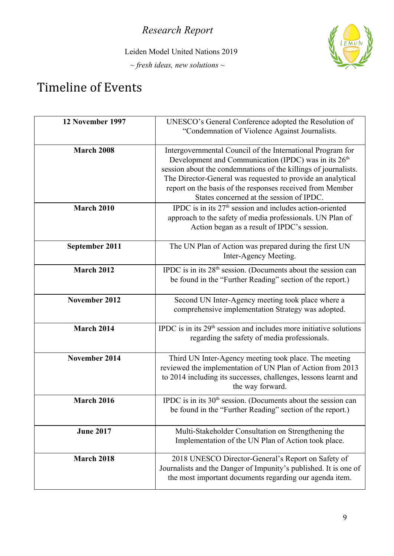Leiden Model United Nations 2019

*~ fresh ideas, new solutions ~*



## Timeline of Events

| 12 November 1997  | UNESCO's General Conference adopted the Resolution of<br>"Condemnation of Violence Against Journalists.                                                                                                                                                                                                                                                                   |
|-------------------|---------------------------------------------------------------------------------------------------------------------------------------------------------------------------------------------------------------------------------------------------------------------------------------------------------------------------------------------------------------------------|
| <b>March 2008</b> | Intergovernmental Council of the International Program for<br>Development and Communication (IPDC) was in its 26 <sup>th</sup><br>session about the condemnations of the killings of journalists.<br>The Director-General was requested to provide an analytical<br>report on the basis of the responses received from Member<br>States concerned at the session of IPDC. |
| <b>March 2010</b> | IPDC is in its $27th$ session and includes action-oriented<br>approach to the safety of media professionals. UN Plan of<br>Action began as a result of IPDC's session.                                                                                                                                                                                                    |
| September 2011    | The UN Plan of Action was prepared during the first UN<br>Inter-Agency Meeting.                                                                                                                                                                                                                                                                                           |
| <b>March 2012</b> | IPDC is in its 28 <sup>th</sup> session. (Documents about the session can<br>be found in the "Further Reading" section of the report.)                                                                                                                                                                                                                                    |
| November 2012     | Second UN Inter-Agency meeting took place where a<br>comprehensive implementation Strategy was adopted.                                                                                                                                                                                                                                                                   |
| March 2014        | IPDC is in its 29 <sup>th</sup> session and includes more initiative solutions<br>regarding the safety of media professionals.                                                                                                                                                                                                                                            |
| November 2014     | Third UN Inter-Agency meeting took place. The meeting<br>reviewed the implementation of UN Plan of Action from 2013<br>to 2014 including its successes, challenges, lessons learnt and<br>the way forward.                                                                                                                                                                |
| <b>March 2016</b> | IPDC is in its $30th$ session. (Documents about the session can<br>be found in the "Further Reading" section of the report.)                                                                                                                                                                                                                                              |
| <b>June 2017</b>  | Multi-Stakeholder Consultation on Strengthening the<br>Implementation of the UN Plan of Action took place.                                                                                                                                                                                                                                                                |
| <b>March 2018</b> | 2018 UNESCO Director-General's Report on Safety of<br>Journalists and the Danger of Impunity's published. It is one of<br>the most important documents regarding our agenda item.                                                                                                                                                                                         |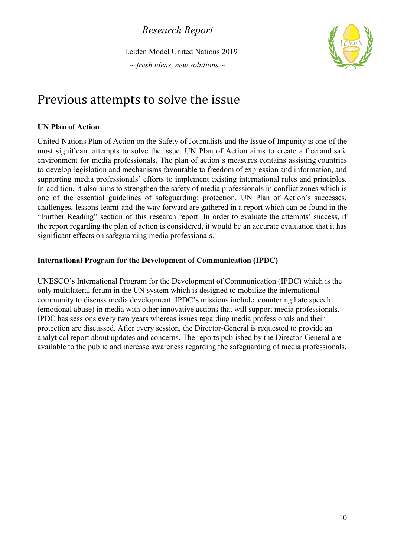Leiden Model United Nations 2019

*~ fresh ideas, new solutions ~*



### Previous attempts to solve the issue

### **UN Plan of Action**

United Nations Plan of Action on the Safety of Journalists and the Issue of Impunity is one of the most significant attempts to solve the issue. UN Plan of Action aims to create a free and safe environment for media professionals. The plan of action's measures contains assisting countries to develop legislation and mechanisms favourable to freedom of expression and information, and supporting media professionals' efforts to implement existing international rules and principles. In addition, it also aims to strengthen the safety of media professionals in conflict zones which is one of the essential guidelines of safeguarding: protection. UN Plan of Action's successes, challenges, lessons learnt and the way forward are gathered in a report which can be found in the "Further Reading" section of this research report. In order to evaluate the attempts' success, if the report regarding the plan of action is considered, it would be an accurate evaluation that it has significant effects on safeguarding media professionals.

### **International Program for the Development of Communication (IPDC)**

UNESCO's International Program for the Development of Communication (IPDC) which is the only multilateral forum in the UN system which is designed to mobilize the international community to discuss media development. IPDC's missions include: countering hate speech (emotional abuse) in media with other innovative actions that will support media professionals. IPDC has sessions every two years whereas issues regarding media professionals and their protection are discussed. After every session, the Director-General is requested to provide an analytical report about updates and concerns. The reports published by the Director-General are available to the public and increase awareness regarding the safeguarding of media professionals.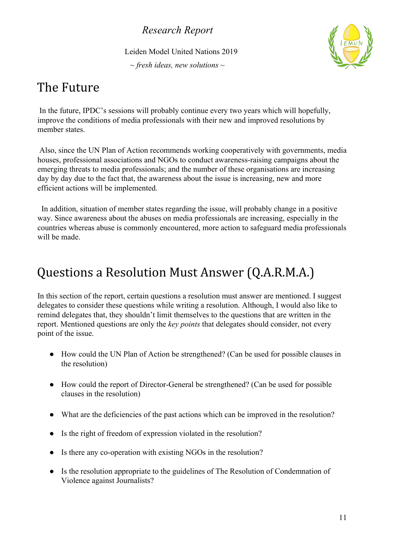Leiden Model United Nations 2019

*~ fresh ideas, new solutions ~*



## The Future

 In the future, IPDC's sessions will probably continue every two years which will hopefully, improve the conditions of media professionals with their new and improved resolutions by member states.

 Also, since the UN Plan of Action recommends working cooperatively with governments, media houses, professional associations and NGOs to conduct awareness-raising campaigns about the emerging threats to media professionals; and the number of these organisations are increasing day by day due to the fact that, the awareness about the issue is increasing, new and more efficient actions will be implemented.

 In addition, situation of member states regarding the issue, will probably change in a positive way. Since awareness about the abuses on media professionals are increasing, especially in the countries whereas abuse is commonly encountered, more action to safeguard media professionals will be made.

## Questions a Resolution Must Answer (Q.A.R.M.A.)

In this section of the report, certain questions a resolution must answer are mentioned. I suggest delegates to consider these questions while writing a resolution. Although, I would also like to remind delegates that, they shouldn't limit themselves to the questions that are written in the report. Mentioned questions are only the *key points* that delegates should consider, not every point of the issue.

- How could the UN Plan of Action be strengthened? (Can be used for possible clauses in the resolution)
- How could the report of Director-General be strengthened? (Can be used for possible clauses in the resolution)
- What are the deficiencies of the past actions which can be improved in the resolution?
- Is the right of freedom of expression violated in the resolution?
- Is there any co-operation with existing NGOs in the resolution?
- Is the resolution appropriate to the guidelines of The Resolution of Condemnation of Violence against Journalists?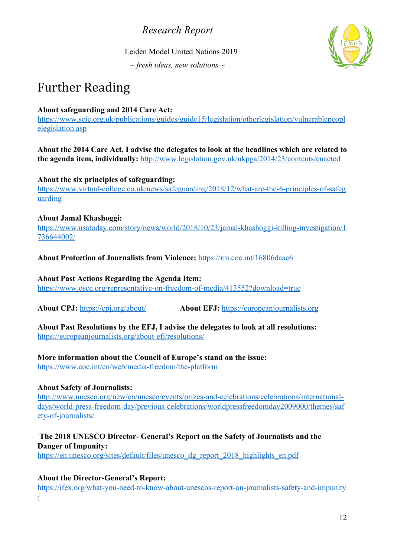Leiden Model United Nations 2019

*~ fresh ideas, new solutions ~*



## Further Reading

### **About safeguarding and 2014 Care Act:**

[https://www.scie.org.uk/publications/guides/guide15/legislation/otherlegislation/vulnerablepeopl](https://www.scie.org.uk/publications/guides/guide15/legislation/otherlegislation/vulnerablepeoplelegislation.asp) [elegislation.asp](https://www.scie.org.uk/publications/guides/guide15/legislation/otherlegislation/vulnerablepeoplelegislation.asp)

**About the 2014 Care Act, I advise the delegates to look at the headlines which are related to the agenda item, individually:** <http://www.legislation.gov.uk/ukpga/2014/23/contents/enacted>

#### **About the six principles of safeguarding:**

[https://www.virtual-college.co.uk/news/safeguarding/2018/12/what-are-the-6-principles-of-safeg](https://www.virtual-college.co.uk/news/safeguarding/2018/12/what-are-the-6-principles-of-safeguarding) [uarding](https://www.virtual-college.co.uk/news/safeguarding/2018/12/what-are-the-6-principles-of-safeguarding)

### **About Jamal Khashoggi:**

[https://www.usatoday.com/story/news/world/2018/10/23/jamal-khashoggi-killing-investigation/1](https://www.usatoday.com/story/news/world/2018/10/23/jamal-khashoggi-killing-investigation/1736644002/) [736644002/](https://www.usatoday.com/story/news/world/2018/10/23/jamal-khashoggi-killing-investigation/1736644002/)

### **About Protection of Journalists from Violence:** <https://rm.coe.int/16806daac6>

#### **About Past Actions Regarding the Agenda Item:**

<https://www.osce.org/representative-on-freedom-of-media/413552?download=true>

**About CPJ:** <https://cpj.org/about/> **About EFJ:** [https://europeanjournalists.org](https://europeanjournalists.org/)

#### **About Past Resolutions by the EFJ, I advise the delegates to look at all resolutions:** <https://europeanjournalists.org/about-efj/resolutions/>

### **More information about the Council of Europe's stand on the issue:**

<https://www.coe.int/en/web/media-freedom/the-platform>

### **About Safety of Journalists:**

[http://www.unesco.org/new/en/unesco/events/prizes-and-celebrations/celebrations/international](http://www.unesco.org/new/en/unesco/events/prizes-and-celebrations/celebrations/international-days/world-press-freedom-day/previous-celebrations/worldpressfreedomday2009000/themes/safety-of-journalists/)[days/world-press-freedom-day/previous-celebrations/worldpressfreedomday2009000/themes/saf](http://www.unesco.org/new/en/unesco/events/prizes-and-celebrations/celebrations/international-days/world-press-freedom-day/previous-celebrations/worldpressfreedomday2009000/themes/safety-of-journalists/) [ety-of-journalists/](http://www.unesco.org/new/en/unesco/events/prizes-and-celebrations/celebrations/international-days/world-press-freedom-day/previous-celebrations/worldpressfreedomday2009000/themes/safety-of-journalists/)

### **The 2018 UNESCO Director- General's Report on the Safety of Journalists and the Danger of Impunity:**

[https://en.unesco.org/sites/default/files/unesco\\_dg\\_report\\_2018\\_highlights\\_en.pdf](https://en.unesco.org/sites/default/files/unesco_dg_report_2018_highlights_en.pdf)

### **About the Director-General's Report:**

[https://ifex.org/what-you-need-to-know-about-unescos-report-on-journalists-safety-and-impunity](https://ifex.org/what-you-need-to-know-about-unescos-report-on-journalists-safety-and-impunity/) [/](https://ifex.org/what-you-need-to-know-about-unescos-report-on-journalists-safety-and-impunity/)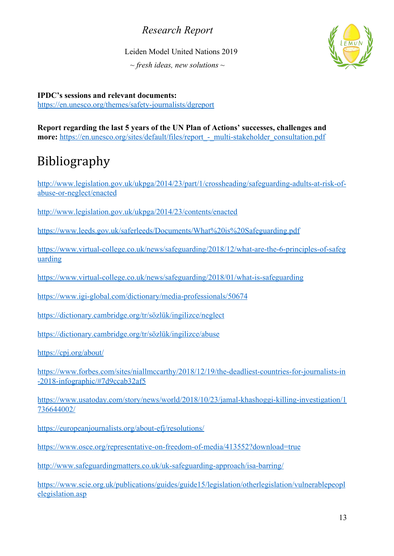Leiden Model United Nations 2019

*~ fresh ideas, new solutions ~*



**IPDC's sessions and relevant documents:** <https://en.unesco.org/themes/safety-journalists/dgreport>

**Report regarding the last 5 years of the UN Plan of Actions' successes, challenges and more:** https://en.unesco.org/sites/default/files/report - multi-stakeholder consultation.pdf

# Bibliography

[http://www.legislation.gov.uk/ukpga/2014/23/part/1/crossheading/safeguarding-adults-at-risk-of](http://www.legislation.gov.uk/ukpga/2014/23/part/1/crossheading/safeguarding-adults-at-risk-of-abuse-or-neglect/enacted)[abuse-or-neglect/enacted](http://www.legislation.gov.uk/ukpga/2014/23/part/1/crossheading/safeguarding-adults-at-risk-of-abuse-or-neglect/enacted)

<http://www.legislation.gov.uk/ukpga/2014/23/contents/enacted>

<https://www.leeds.gov.uk/saferleeds/Documents/What%20is%20Safeguarding.pdf>

[https://www.virtual-college.co.uk/news/safeguarding/2018/12/what-are-the-6-principles-of-safeg](https://www.virtual-college.co.uk/news/safeguarding/2018/12/what-are-the-6-principles-of-safeguarding) [uarding](https://www.virtual-college.co.uk/news/safeguarding/2018/12/what-are-the-6-principles-of-safeguarding)

<https://www.virtual-college.co.uk/news/safeguarding/2018/01/what-is-safeguarding>

<https://www.igi-global.com/dictionary/media-professionals/50674>

[https://dictionary.cambridge.org/tr/sözlük/ingilizce/neglect](https://dictionary.cambridge.org/tr/s%C3%B6zl%C3%BCk/ingilizce/neglect)

[https://dictionary.cambridge.org/tr/sözlük/ingilizce/abuse](https://dictionary.cambridge.org/tr/s%C3%B6zl%C3%BCk/ingilizce/abuse)

<https://cpj.org/about/>

[https://www.forbes.com/sites/niallmccarthy/2018/12/19/the-deadliest-countries-for-journalists-in](https://www.forbes.com/sites/niallmccarthy/2018/12/19/the-deadliest-countries-for-journalists-in-2018-infographic/#7d9ccab32af5) [-2018-infographic/#7d9ccab32af5](https://www.forbes.com/sites/niallmccarthy/2018/12/19/the-deadliest-countries-for-journalists-in-2018-infographic/#7d9ccab32af5)

[https://www.usatoday.com/story/news/world/2018/10/23/jamal-khashoggi-killing-investigation/1](https://www.usatoday.com/story/news/world/2018/10/23/jamal-khashoggi-killing-investigation/1736644002/) [736644002/](https://www.usatoday.com/story/news/world/2018/10/23/jamal-khashoggi-killing-investigation/1736644002/)

<https://europeanjournalists.org/about-efj/resolutions/>

<https://www.osce.org/representative-on-freedom-of-media/413552?download=true>

<http://www.safeguardingmatters.co.uk/uk-safeguarding-approach/isa-barring/>

[https://www.scie.org.uk/publications/guides/guide15/legislation/otherlegislation/vulnerablepeopl](https://www.scie.org.uk/publications/guides/guide15/legislation/otherlegislation/vulnerablepeoplelegislation.asp) [elegislation.asp](https://www.scie.org.uk/publications/guides/guide15/legislation/otherlegislation/vulnerablepeoplelegislation.asp)